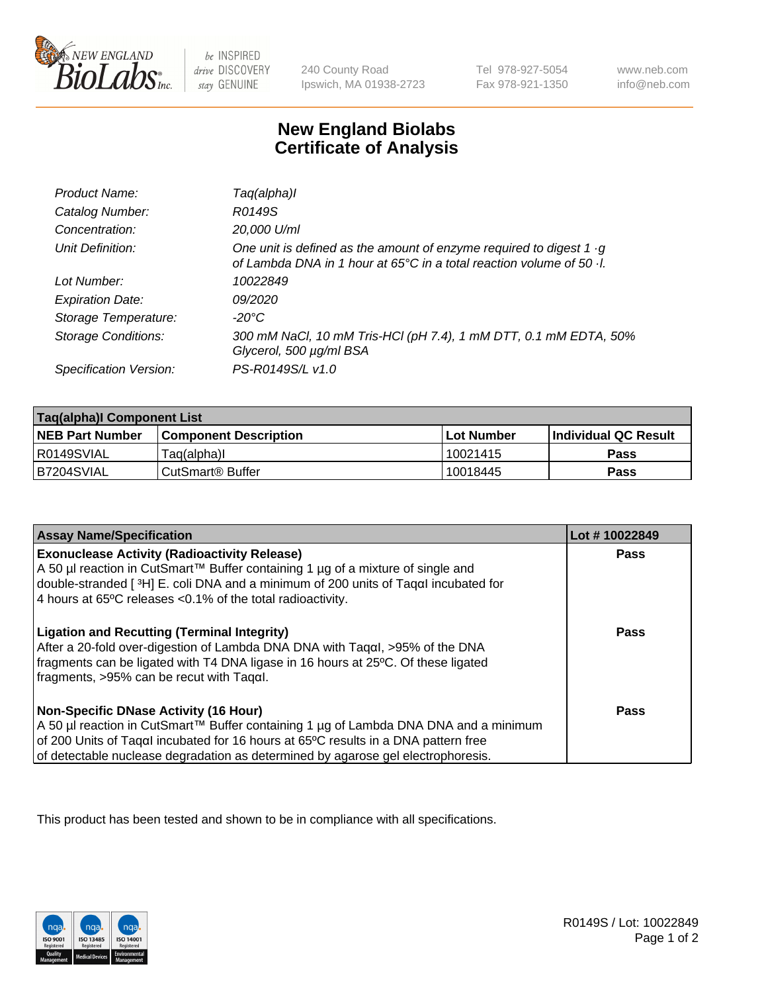

 $be$  INSPIRED drive DISCOVERY stay GENUINE

240 County Road Ipswich, MA 01938-2723 Tel 978-927-5054 Fax 978-921-1350 www.neb.com info@neb.com

## **New England Biolabs Certificate of Analysis**

| Product Name:              | Taq(alpha)I                                                                                                                                                        |
|----------------------------|--------------------------------------------------------------------------------------------------------------------------------------------------------------------|
| Catalog Number:            | R0149S                                                                                                                                                             |
| Concentration:             | 20,000 U/ml                                                                                                                                                        |
| Unit Definition:           | One unit is defined as the amount of enzyme required to digest $1 \cdot g$<br>of Lambda DNA in 1 hour at $65^{\circ}$ C in a total reaction volume of 50 $\cdot$ . |
| Lot Number:                | 10022849                                                                                                                                                           |
| <b>Expiration Date:</b>    | 09/2020                                                                                                                                                            |
| Storage Temperature:       | -20°C                                                                                                                                                              |
| <b>Storage Conditions:</b> | 300 mM NaCl, 10 mM Tris-HCl (pH 7.4), 1 mM DTT, 0.1 mM EDTA, 50%<br>Glycerol, 500 µg/ml BSA                                                                        |
| Specification Version:     | PS-R0149S/L v1.0                                                                                                                                                   |

| Taq(alpha)I Component List |                              |            |                             |  |
|----------------------------|------------------------------|------------|-----------------------------|--|
| <b>NEB Part Number</b>     | <b>Component Description</b> | Lot Number | <b>Individual QC Result</b> |  |
| I R0149SVIAL               | Taq(alpha)I                  | 10021415   | Pass                        |  |
| B7204SVIAL                 | ⊧CutSmart® Buffer            | 10018445   | Pass                        |  |

| <b>Assay Name/Specification</b>                                                                                                                                                                                                                                                                                | Lot #10022849 |
|----------------------------------------------------------------------------------------------------------------------------------------------------------------------------------------------------------------------------------------------------------------------------------------------------------------|---------------|
| <b>Exonuclease Activity (Radioactivity Release)</b><br>A 50 µl reaction in CutSmart™ Buffer containing 1 µg of a mixture of single and<br>double-stranded [3H] E. coli DNA and a minimum of 200 units of Tagal incubated for                                                                                   | Pass          |
| 4 hours at 65°C releases < 0.1% of the total radioactivity.                                                                                                                                                                                                                                                    |               |
| <b>Ligation and Recutting (Terminal Integrity)</b><br>After a 20-fold over-digestion of Lambda DNA DNA with Tagal, >95% of the DNA<br>fragments can be ligated with T4 DNA ligase in 16 hours at 25°C. Of these ligated<br>$\frac{1}{2}$ fragments, >95% can be recut with Tagal.                              | Pass          |
| <b>Non-Specific DNase Activity (16 Hour)</b><br>A 50 µl reaction in CutSmart™ Buffer containing 1 µg of Lambda DNA DNA and a minimum<br>of 200 Units of Taqal incubated for 16 hours at 65°C results in a DNA pattern free<br>of detectable nuclease degradation as determined by agarose gel electrophoresis. | Pass          |

This product has been tested and shown to be in compliance with all specifications.